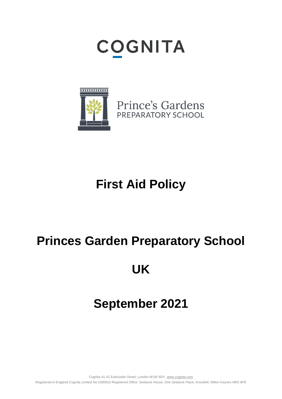# **COGNITA**



Prince's Gardens PREPARATORY SCHOOL

# **First Aid Policy**

## **Princes Garden Preparatory School**

### **UK**

# **September 2021**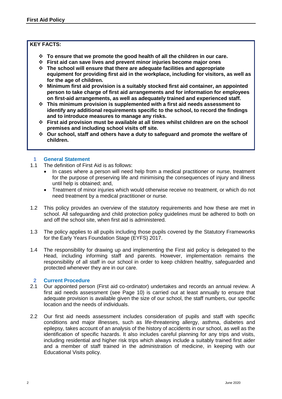#### **KEY FACTS:**

- ❖ **To ensure that we promote the good health of all the children in our care.**
- ❖ **First aid can save lives and prevent minor injuries become major ones**
- ❖ **The school will ensure that there are adequate facilities and appropriate equipment for providing first aid in the workplace, including for visitors, as well as for the age of children.**
- ❖ **Minimum first aid provision is a suitably stocked first aid container, an appointed person to take charge of first aid arrangements and for information for employees on first-aid arrangements, as well as adequately trained and experienced staff.**
- ❖ **This minimum provision is supplemented with a first aid needs assessment to identify any additional requirements specific to the school, to record the findings and to introduce measures to manage any risks.**
- ❖ **First aid provision must be available at all times whilst children are on the school premises and including school visits off site.**
- ❖ **Our school, staff and others have a duty to safeguard and promote the welfare of children.**

#### **1 General Statement**

- 1.1 The definition of First Aid is as follows:
	- In cases where a person will need help from a medical practitioner or nurse, treatment for the purpose of preserving life and minimising the consequences of injury and illness until help is obtained; and,
	- Treatment of minor injuries which would otherwise receive no treatment, or which do not need treatment by a medical practitioner or nurse.
- 1.2 This policy provides an overview of the statutory requirements and how these are met in school. All safeguarding and child protection policy guidelines must be adhered to both on and off the school site, when first aid is administered.
- 1.3 The policy applies to all pupils including those pupils covered by the Statutory Frameworks for the Early Years Foundation Stage (EYFS) 2017.
- 1.4 The responsibility for drawing up and implementing the First aid policy is delegated to the Head, including informing staff and parents. However, implementation remains the responsibility of all staff in our school in order to keep children healthy, safeguarded and protected whenever they are in our care.

#### **2 Current Procedure**

- 2.1 Our appointed person (First aid co-ordinator) undertakes and records an annual review. A first aid needs assessment (see Page 10) is carried out at least annually to ensure that adequate provision is available given the size of our school, the staff numbers, our specific location and the needs of individuals.
- 2.2 Our first aid needs assessment includes consideration of pupils and staff with specific conditions and major illnesses, such as life-threatening allergy, asthma, diabetes and epilepsy, takes account of an analysis of the history of accidents in our school, as well as the identification of specific hazards. It also includes careful planning for any trips and visits, including residential and higher risk trips which always include a suitably trained first aider and a member of staff trained in the administration of medicine, in keeping with our Educational Visits policy.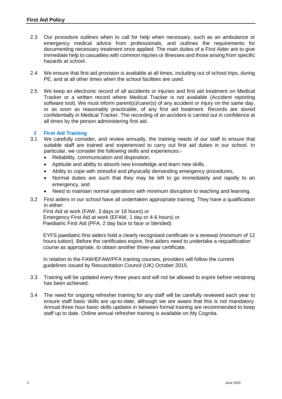- 2.3 Our procedure outlines when to call for help when necessary, such as an ambulance or emergency medical advice from professionals, and outlines the requirements for documenting necessary treatment once applied. The main duties of a First Aider are to give immediate help to casualties with common injuries or illnesses and those arising from specific hazards at school.
- 2.4 We ensure that first aid provision is available at all times, including out of school trips, during PE, and at all other times when the school facilities are used.
- 2.5 We keep an electronic record of all accidents or injuries and first aid treatment on Medical Tracker or a written record where Medical Tracker is not available (Accident reporting software tool). We must inform parent(s)/carer(s) of any accident or injury on the same day, or as soon as reasonably practicable, of any first aid treatment. Records are stored confidentially in Medical Tracker. The recording of an accident is carried out in confidence at all times by the person administering first aid.

#### **3 First Aid Training**

- 3.1 We carefully consider, and review annually, the training needs of our staff to ensure that suitable staff are trained and experienced to carry out first aid duties in our school. In particular, we consider the following skills and experiences:-
	- Reliability, communication and disposition,
	- Aptitude and ability to absorb new knowledge and learn new skills,
	- Ability to cope with stressful and physically demanding emergency procedures,
	- Normal duties are such that they may be left to go immediately and rapidly to an emergency, and
	- Need to maintain normal operations with minimum disruption to teaching and learning.
- 3.2 First aiders in our school have all undertaken appropriate training. They have a qualification in either:

 First Aid at work (FAW, 3 days or 18 hours) or Emergency First Aid at work (EFAW, 1 day or 4-6 hours) or Paediatric First Aid (PFA, 2 day face to face or blended)

 EYFS paediatric first aiders hold a clearly recognised certificate or a renewal (minimum of 12 hours tuition). Before the certificates expire, first aiders need to undertake a requalification course as appropriate, to obtain another three-year certificate.

 In relation to the FAW/EFAW/PFA training courses, providers will follow the current guidelines issued by Resuscitation Council (UK) October 2015.

- 3.3 Training will be updated every three years and will not be allowed to expire before retraining has been achieved.
- 3.4 The need for ongoing refresher training for any staff will be carefully reviewed each year to ensure staff basic skills are up-to-date, although we are aware that this is not mandatory. Annual three hour basic skills updates in between formal training are recommended to keep staff up to date. Online annual refresher training is available on My Cognita.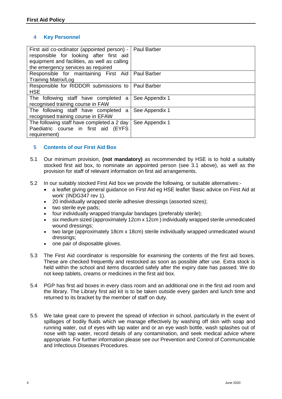#### **4 Key Personnel**

| First aid co-ordinator (appointed person) -   Paul Barber<br>responsible for looking after first aid<br>equipment and facilities, as well as calling<br>the emergency services as required |                |
|--------------------------------------------------------------------------------------------------------------------------------------------------------------------------------------------|----------------|
| Responsible for maintaining First Aid   Paul Barber<br><b>Training Matrix/Log</b>                                                                                                          |                |
| Responsible for RIDDOR submissions to   Paul Barber<br><b>HSE</b>                                                                                                                          |                |
| The following staff have completed a<br>recognised training course in FAW                                                                                                                  | See Appendix 1 |
| The following staff have completed<br>a<br>recognised training course in EFAW                                                                                                              | See Appendix 1 |
| The following staff have completed a 2 day<br>Paediatric course in first aid (EYFS<br>requirement)                                                                                         | See Appendix 1 |

#### **5 Contents of our First Aid Box**

- 5.1 Our minimum provision, **(not mandatory)** as recommended by HSE is to hold a suitably stocked first aid box, to nominate an appointed person (see 3.1 above), as well as the provision for staff of relevant information on first aid arrangements.
- 5.2 In our suitably stocked First Aid box we provide the following, or suitable alternatives:-
	- a leaflet giving general guidance on First Aid eg HSE leaflet 'Basic advice on First Aid at work' (INDG347 rev 1).
	- 20 individually wrapped sterile adhesive dressings (assorted sizes);
	- two sterile eve pads:
	- four individually wrapped triangular bandages (preferably sterile);
	- six medium sized (approximately 12cm x 12cm ) individually wrapped sterile unmedicated wound dressings;
	- two large (approximately 18cm x 18cm) sterile individually wrapped unmedicated wound dressings;
	- one pair of disposable gloves.
- 5.3 The First Aid coordinator is responsible for examining the contents of the first aid boxes. These are checked frequently and restocked as soon as possible after use. Extra stock is held within the school and items discarded safely after the expiry date has passed. We do not keep tablets, creams or medicines in the first aid box.
- 5.4 PGP has first aid boxes in every class room and an additional one in the first aid room and the library. The Library first aid kit is to be taken outside every garden and lunch time and returned to its bracket by the member of staff on duty.
- 5.5 We take great care to prevent the spread of infection in school, particularly in the event of spillages of bodily fluids which we manage effectively by washing off skin with soap and running water, out of eyes with tap water and or an eye wash bottle, wash splashes out of nose with tap water, record details of any contamination, and seek medical advice where appropriate. For further information please see our Prevention and Control of Communicable and Infectious Diseases Procedures.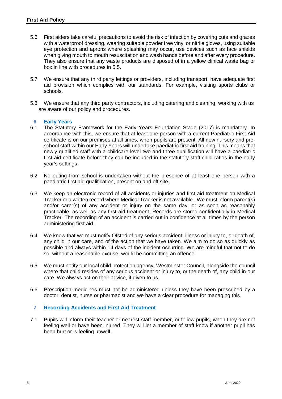- 5.6 First aiders take careful precautions to avoid the risk of infection by covering cuts and grazes with a waterproof dressing, wearing suitable powder free vinyl or nitrile gloves, using suitable eye protection and aprons where splashing may occur, use devices such as face shields when giving mouth to mouth resuscitation and wash hands before and after every procedure. They also ensure that any waste products are disposed of in a yellow clinical waste bag or box in line with procedures in 5.5.
- 5.7 We ensure that any third party lettings or providers, including transport, have adequate first aid provision which complies with our standards. For example, visiting sports clubs or schools.
- 5.8 We ensure that any third party contractors, including catering and cleaning, working with us are aware of our policy and procedures.

#### **6 Early Years**

- 6.1 The Statutory Framework for the Early Years Foundation Stage (2017) is mandatory. In accordance with this, we ensure that at least one person with a current Paediatric First Aid certificate is on our premises at all times, when pupils are present. All new nursery and preschool staff within our Early Years will undertake paediatric first aid training. This means that newly qualified staff with a childcare level two and three qualification will have a paediatric first aid certificate before they can be included in the statutory staff:child ratios in the early year's settings.
- 6.2 No outing from school is undertaken without the presence of at least one person with a paediatric first aid qualification, present on and off site.
- 6.3 We keep an electronic record of all accidents or injuries and first aid treatment on Medical Tracker or a written record where Medical Tracker is not available. We must inform parent(s) and/or carer(s) of any accident or injury on the same day, or as soon as reasonably practicable, as well as any first aid treatment. Records are stored confidentially in Medical Tracker. The recording of an accident is carried out in confidence at all times by the person administering first aid.
- 6.4 We know that we must notify Ofsted of any serious accident, illness or injury to, or death of, any child in our care, and of the action that we have taken. We aim to do so as quickly as possible and always within 14 days of the incident occurring. We are mindful that not to do so, without a reasonable excuse, would be committing an offence.
- 6.5 We must notify our local child protection agency, Westminster Council, alongside the council where that child resides of any serious accident or injury to, or the death of, any child in our care. We always act on their advice, if given to us.
- 6.6 Prescription medicines must not be administered unless they have been prescribed by a doctor, dentist, nurse or pharmacist and we have a clear procedure for managing this.

#### **7 Recording Accidents and First Aid Treatment**

7.1 Pupils will inform their teacher or nearest staff member, or fellow pupils, when they are not feeling well or have been injured. They will let a member of staff know if another pupil has been hurt or is feeling unwell.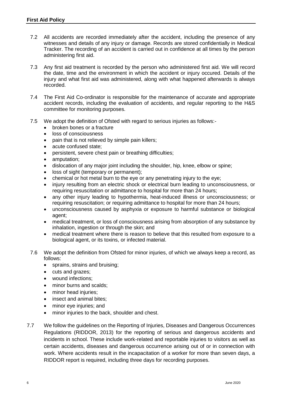- 7.2 All accidents are recorded immediately after the accident, including the presence of any witnesses and details of any injury or damage. Records are stored confidentially in Medical Tracker. The recording of an accident is carried out in confidence at all times by the person administering first aid.
- 7.3 Any first aid treatment is recorded by the person who administered first aid. We will record the date, time and the environment in which the accident or injury occured. Details of the injury and what first aid was administered, along with what happened afterwards is always recorded.
- 7.4 The First Aid Co-ordinator is responsible for the maintenance of accurate and appropriate accident records, including the evaluation of accidents, and regular reporting to the H&S committee for monitoring purposes.
- 7.5 We adopt the definition of Ofsted with regard to serious injuries as follows:-
	- broken bones or a fracture
	- loss of consciousness
	- pain that is not relieved by simple pain killers;
	- acute confused state;
	- persistent, severe chest pain or breathing difficulties;
	- amputation:
	- dislocation of any major joint including the shoulder, hip, knee, elbow or spine;
	- loss of sight (temporary or permanent);
	- chemical or hot metal burn to the eye or any penetrating injury to the eye;
	- injury resulting from an electric shock or electrical burn leading to unconsciousness, or requiring resuscitation or admittance to hospital for more than 24 hours;
	- any other injury leading to hypothermia, heat-induced illness or unconsciousness; or requiring resuscitation; or requiring admittance to hospital for more than 24 hours;
	- unconsciousness caused by asphyxia or exposure to harmful substance or biological agent;
	- medical treatment, or loss of consciousness arising from absorption of any substance by inhalation, ingestion or through the skin; and
	- medical treatment where there is reason to believe that this resulted from exposure to a biological agent, or its toxins, or infected material.
- 7.6 We adopt the definition from Ofsted for minor injuries, of which we always keep a record, as follows:
	- sprains, strains and bruising;
	- cuts and grazes;
	- wound infections;
	- minor burns and scalds;
	- minor head injuries:
	- insect and animal bites;
	- minor eye injuries; and
	- minor injuries to the back, shoulder and chest.
- 7.7 We follow the guidelines on the Reporting of Injuries, Diseases and Dangerous Occurrences Regulations (RIDDOR, 2013) for the reporting of serious and dangerous accidents and incidents in school. These include work-related and reportable injuries to visitors as well as certain accidents, diseases and dangerous occurrence arising out of or in connection with work. Where accidents result in the incapacitation of a worker for more than seven days, a RIDDOR report is required, including three days for recording purposes.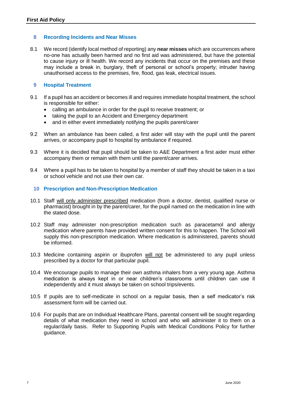#### **8 Recording Incidents and Near Misses**

8.1 We record (identify local method of reporting) any **near misses** which are occurrences where no-one has actually been harmed and no first aid was administered, but have the potential to cause injury or ill health. We record any incidents that occur on the premises and these may include a break in, burglary, theft of personal or school's property; intruder having unauthorised access to the premises, fire, flood, gas leak, electrical issues.

#### **9 Hospital Treatment**

- 9.1 If a pupil has an accident or becomes ill and requires immediate hospital treatment, the school is responsible for either:
	- calling an ambulance in order for the pupil to receive treatment; or
	- taking the pupil to an Accident and Emergency department
	- and in either event immediately notifying the pupils parent/carer
- 9.2 When an ambulance has been called, a first aider will stay with the pupil until the parent arrives, or accompany pupil to hospital by ambulance if required.
- 9.3 Where it is decided that pupil should be taken to A&E Department a first aider must either accompany them or remain with them until the parent/carer arrives.
- 9.4 Where a pupil has to be taken to hospital by a member of staff they should be taken in a taxi or school vehicle and not use their own car.

#### **10 Prescription and Non-Prescription Medication**

- 10.1 Staff will only administer prescribed medication (from a doctor, dentist, qualified nurse or pharmacist) brought in by the parent/carer, for the pupil named on the medication in line with the stated dose.
- 10.2 Staff may administer non-prescription medication such as paracetamol and allergy medication where parents have provided written consent for this to happen. The School will supply this non-prescription medication. Where medication is administered, parents should be informed.
- 10.3 Medicine containing aspirin or ibuprofen will not be administered to any pupil unless prescribed by a doctor for that particular pupil.
- 10.4 We encourage pupils to manage their own asthma inhalers from a very young age. Asthma medication is always kept in or near children's classrooms until children can use it independently and it must always be taken on school trips/events.
- 10.5 If pupils are to self-medicate in school on a regular basis, then a self medicator's risk assessment form will be carried out.
- 10.6 For pupils that are on Individual Healthcare Plans, parental consent will be sought regarding details of what medication they need in school and who will administer it to them on a regular/daily basis. Refer to Supporting Pupils with Medical Conditions Policy for further guidance.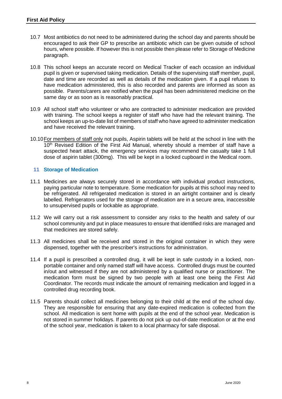- 10.7 Most antibiotics do not need to be administered during the school day and parents should be encouraged to ask their GP to prescribe an antibiotic which can be given outside of school hours, where possible. If however this is not possible then please refer to Storage of Medicine paragraph.
- 10.8 This school keeps an accurate record on Medical Tracker of each occasion an individual pupil is given or supervised taking medication. Details of the supervising staff member, pupil, date and time are recorded as well as details of the medication given. If a pupil refuses to have medication administered, this is also recorded and parents are informed as soon as possible. Parents/carers are notified when the pupil has been administered medicine on the same day or as soon as is reasonably practical.
- 10.9 All school staff who volunteer or who are contracted to administer medication are provided with training. The school keeps a register of staff who have had the relevant training. The school keeps an up-to-date list of members of staff who have agreed to administer medication and have received the relevant training.
- 10.10For members of staff only not pupils, Aspirin tablets will be held at the school in line with the 10<sup>th</sup> Revised Edition of the First Aid Manual, whereby should a member of staff have a suspected heart attack, the emergency services may recommend the casualty take 1 full dose of aspirin tablet (300mg). This will be kept in a locked cupboard in the Medical room.

#### **11 Storage of Medication**

- 11.1 Medicines are always securely stored in accordance with individual product instructions, paying particular note to temperature. Some medication for pupils at this school may need to be refrigerated. All refrigerated medication is stored in an airtight container and is clearly labelled. Refrigerators used for the storage of medication are in a secure area, inaccessible to unsupervised pupils or lockable as appropriate.
- 11.2 We will carry out a risk assessment to consider any risks to the health and safety of our school community and put in place measures to ensure that identified risks are managed and that medicines are stored safely.
- 11.3 All medicines shall be received and stored in the original container in which they were dispensed, together with the prescriber's instructions for administration.
- 11.4 If a pupil is prescribed a controlled drug, it will be kept in safe custody in a locked, nonportable container and only named staff will have access. Controlled drugs must be counted in/out and witnessed if they are not administered by a qualified nurse or practitioner. The medication form must be signed by two people with at least one being the First Aid Coordinator. The records must indicate the amount of remaining medication and logged in a controlled drug recording book.
- 11.5 Parents should collect all medicines belonging to their child at the end of the school day. They are responsible for ensuring that any date-expired medication is collected from the school. All medication is sent home with pupils at the end of the school year. Medication is not stored in summer holidays. If parents do not pick up out-of-date medication or at the end of the school year, medication is taken to a local pharmacy for safe disposal.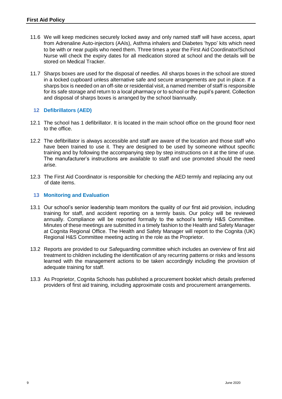- 11.6 We will keep medicines securely locked away and only named staff will have access, apart from Adrenaline Auto-injectors (AAIs), Asthma inhalers and Diabetes 'hypo' kits which need to be with or near pupils who need them. Three times a year the First Aid Coordinator/School Nurse will check the expiry dates for all medication stored at school and the details will be stored on Medical Tracker.
- 11.7 Sharps boxes are used for the disposal of needles. All sharps boxes in the school are stored in a locked cupboard unless alternative safe and secure arrangements are put in place. If a sharps box is needed on an off-site or residential visit, a named member of staff is responsible for its safe storage and return to a local pharmacy or to school or the pupil's parent. Collection and disposal of sharps boxes is arranged by the school biannually.

#### **12 Defibrillators (AED)**

- 12.1 The school has 1 defibrillator. It is located in the main school office on the ground floor next to the office.
- 12.2 The defibrillator is always accessible and staff are aware of the location and those staff who have been trained to use it. They are designed to be used by someone without specific training and by following the accompanying step by step instructions on it at the time of use. The manufacturer's instructions are available to staff and use promoted should the need arise.
- 12.3 The First Aid Coordinator is responsible for checking the AED termly and replacing any out of date items.

#### **13 Monitoring and Evaluation**

- 13.1 Our school's senior leadership team monitors the quality of our first aid provision, including training for staff, and accident reporting on a termly basis. Our policy will be reviewed annually. Compliance will be reported formally to the school's termly H&S Committee. Minutes of these meetings are submitted in a timely fashion to the Health and Safety Manager at Cognita Regional Office. The Health and Safety Manager will report to the Cognita (UK) Regional H&S Committee meeting acting in the role as the Proprietor.
- 13.2 Reports are provided to our Safeguarding committee which includes an overview of first aid treatment to children including the identification of any recurring patterns or risks and lessons learned with the management actions to be taken accordingly including the provision of adequate training for staff.
- 13.3 As Proprietor, Cognita Schools has published a procurement booklet which details preferred providers of first aid training, including approximate costs and procurement arrangements.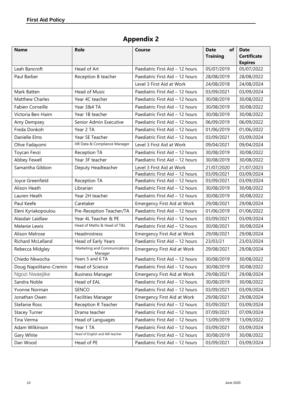### **Appendix 2**

| <b>Name</b>            | <b>Role</b>                             | <b>Course</b>                      | of<br><b>Date</b> | <b>Date</b>                  |
|------------------------|-----------------------------------------|------------------------------------|-------------------|------------------------------|
|                        |                                         |                                    | <b>Training</b>   | <b>Certificate</b>           |
| Leah Bancroft          | Head of Art                             | Paediatric First Aid - 12 hours    | 05/07/2019        | <b>Expires</b><br>05/07/2022 |
| Paul Barber            | Reception B teacher                     | Paediatric First Aid - 12 hours    | 28/08/2019        | 28/08/2022                   |
|                        |                                         | Level 3 First Aid at Work          | 24/08/2018        | 24/08/2024                   |
| Mark Batten            | Head of Music                           | Paediatric First Aid - 12 hours    | 03/09/2021        | 03/09/2024                   |
| <b>Matthew Charles</b> | Year 4C teacher                         | Paediatric First Aid - 12 hours    | 30/08/2019        |                              |
|                        | Year 3&4 TA                             |                                    |                   | 30/08/2022                   |
| Fabien Corneille       |                                         | Paediatric First Aid - 12 hours    | 30/08/2019        | 30/08/2022                   |
| Victoria Ben-Haim      | Year 1B teacher                         | Paediatric First Aid - 12 hours    | 30/08/2019        | 30/08/2022                   |
| Amy Dempsey            | Senior Admin Executive                  | Paediatric First Aid - 12 hours    | 06/09/2019        | 06/09/2022                   |
| Freda Donkoh           | Year 2 TA                               | Paediatric First Aid - 12 hours    | 01/06/2019        | 01/06/2022                   |
| Danielle Elms          | Year 5E Teacher                         | Paediatric First Aid - 12 hours    | 03/09/2021        | 03/09/2024                   |
| Olive Fadayomi         | HR Data & Compliance Manager            | Level 3 First Aid at Work          | 09/04/2021        | 09/04/2024                   |
| Toycan Fevzi           | Reception TA                            | Paediatric First Aid - 12 hours    | 30/08/2019        | 30/08/2022                   |
| Abbey Fewell           | Year 3F teacher                         | Paediatric First Aid - 12 hours    | 30/08/2019        | 30/08/2022                   |
| Samantha Gibbon        | Deputy Headteacher                      | Level 3 First Aid at Work          | 21/07/2020        | 21/07/2023                   |
|                        |                                         | Paediatric First Aid - 12 hours    | 03/09/2021        | 03/09/2024                   |
| Joyce Greenfield       | Reception TA                            | Paediatric First Aid - 12 hours    | 03/09/2021        | 03/09/2024                   |
| Alison Heath           | Librarian                               | Paediatric First Aid - 12 hours    | 30/08/2019        | 30/08/2022                   |
| Lauren Heath           | Year 2H teacher                         | Paediatric First Aid - 12 hours    | 30/08/2019        | 30/08/2022                   |
| Paul Keefe             | Caretaker                               | <b>Emergency First Aid at Work</b> | 29/08/2021        | 29/08/2024                   |
| Eleni Kyriakopoulou    | Pre-Reception Teacher/TA                | Paediatric First Aid - 12 hours    | 01/06/2019        | 01/06/2022                   |
| Alasdair Laidlaw       | Year 4L Teacher & PE                    | Paediatric First Aid - 12 hours    | 03/09/2021        | 03/09/2024                   |
| Melanie Lewis          | Head of Maths & Head of T&L             | Paediatric First Aid - 12 hours    | 30/08/2021        | 30/08/2024                   |
| Alison Melrose         | <b>Headmistress</b>                     | <b>Emergency First Aid at Work</b> | 29/08/2021        | 29/08/2024                   |
| Richard McLelland      | Head of Early Years                     | Paediatric First Aid - 12 hours    | 23/03/21          | 23/03/2024                   |
| Rebecca Midgley        | Marketing and Communications<br>Manager | Emergency First Aid at Work        | 29/08/2021        | 29/08/2024                   |
| Chiedo Nkwocha         | Years 5 and 6 TA                        | Paediatric First Aid - 12 hours    | 30/08/2019        | 30/08/2022                   |
| Doug Napolitano-Cremin | Head of Science                         | Paediatric First Aid - 12 hours    | 30/08/2019        | 30/08/2022                   |
| Ngozi Nwaejike         | <b>Business Manager</b>                 | Emergency First Aid at Work        | 29/08/2021        | 29/08/2024                   |
| Sandra Noble           | Head of EAL                             | Paediatric First Aid - 12 hours    | 30/08/2019        | 30/08/2022                   |
| Yvonne Norman          | <b>SENCO</b>                            | Paediatric First Aid - 12 hours    | 03/09/2021        | 03/09/2024                   |
| Jonathan Owen          | <b>Facilities Manager</b>               | Emergency First Aid at Work        | 29/08/2021        | 29/08/2024                   |
| Stefanie Ross          | Reception R Teacher                     | Paediatric First Aid - 12 hours    | 03/09/2021        | 03/09/2024                   |
| <b>Stacey Turner</b>   | Drama teacher                           | Paediatric First Aid - 12 hours    | 07/09/2021        | 07/09/2024                   |
| Tina Verma             | Head of Languages                       | Paediatric First Aid - 12 hours    | 13/09/2019        | 13/09/2022                   |
| Adam Wilkinson         | Year 1 TA                               | Paediatric First Aid - 12 hours    | 03/09/2021        | 03/09/2024                   |
| Gary White             | Head of English and 6W teacher          | Paediatric First Aid - 12 hours    | 30/08/2019        | 30/08/2022                   |
| Dan Wood               | Head of PE                              | Paediatric First Aid - 12 hours    | 03/09/2021        | 03/09/2024                   |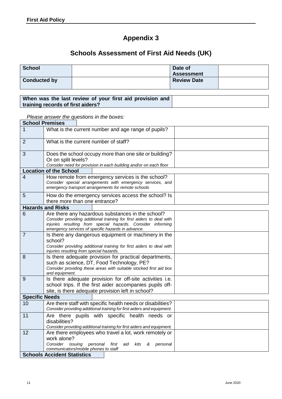$\mathsf{r}$ 

### **Appendix 3**

### **Schools Assessment of First Aid Needs (UK)**

| <b>School</b>       | Date of<br><b>Assessment</b> |  |
|---------------------|------------------------------|--|
| <b>Conducted by</b> | <b>Review Date</b>           |  |

#### **When was the last review of your first aid provision and training records of first aiders?**

*Please answer the questions in the boxes:*

| <b>School Premises</b> |                                                                                                                                                                                                                                                |
|------------------------|------------------------------------------------------------------------------------------------------------------------------------------------------------------------------------------------------------------------------------------------|
| 1                      | What is the current number and age range of pupils?                                                                                                                                                                                            |
| $\overline{2}$         | What is the current number of staff?                                                                                                                                                                                                           |
| 3                      | Does the school occupy more than one site or building?<br>Or on split levels?<br>Consider need for provision in each building and/or on each floor                                                                                             |
|                        | <b>Location of the School</b>                                                                                                                                                                                                                  |
| 4                      | How remote from emergency services is the school?<br>Consider special arrangements with emergency services, and<br>emergency transport arrangements for remote schools                                                                         |
| 5                      | How do the emergency services access the school? Is<br>there more than one entrance?                                                                                                                                                           |
|                        | <b>Hazards and Risks</b>                                                                                                                                                                                                                       |
| 6                      | Are there any hazardous substances in the school?<br>Consider providing additional training for first aiders to deal with<br>injuries resulting from special hazards. Consider informing<br>emergency services of specific hazards in advance. |
| $\overline{7}$         | Is there any dangerous equipment or machinery in the<br>school?<br>Consider providing additional training for first aiders to deal with<br>injuries resulting from special hazards.                                                            |
| 8                      | Is there adequate provision for practical departments,<br>such as science, DT, Food Technology, PE?<br>Consider providing these areas with suitable stocked first aid box<br>and equipment.                                                    |
| 9                      | Is there adequate provision for off-site activities i.e.<br>school trips. If the first aider accompanies pupils off-<br>site, is there adequate provision left in school?                                                                      |
| <b>Specific Needs</b>  |                                                                                                                                                                                                                                                |
| 10                     | Are there staff with specific health needs or disabilities?<br>Consider providing additional training for first aiders and equipment.                                                                                                          |
| 11                     | Are there pupils with specific health needs<br>or<br>disabilities?<br>Consider providing additional training for first aiders and equipment.                                                                                                   |
| 12                     | Are there employees who travel a lot, work remotely or<br>work alone?<br>issuing personal<br>Consider<br>first<br>aid<br>kits<br>&<br>personal<br>communicators/mobile phones to staff                                                         |
|                        | <b>Schools Accident Statistics</b>                                                                                                                                                                                                             |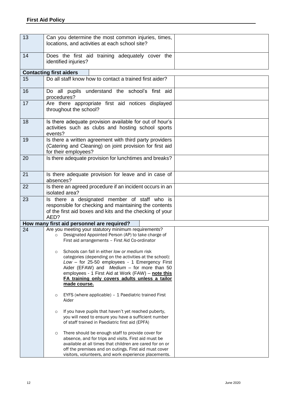| 13 | Can you determine the most common injuries, times,<br>locations, and activities at each school site?                                                                                                                                                                                                                                                                                                                                                                                                                    |  |
|----|-------------------------------------------------------------------------------------------------------------------------------------------------------------------------------------------------------------------------------------------------------------------------------------------------------------------------------------------------------------------------------------------------------------------------------------------------------------------------------------------------------------------------|--|
| 14 | Does the first aid training adequately cover the<br>identified injuries?                                                                                                                                                                                                                                                                                                                                                                                                                                                |  |
|    | <b>Contacting first aiders</b>                                                                                                                                                                                                                                                                                                                                                                                                                                                                                          |  |
| 15 | Do all staff know how to contact a trained first aider?                                                                                                                                                                                                                                                                                                                                                                                                                                                                 |  |
| 16 | Do all pupils understand the school's first aid<br>procedures?                                                                                                                                                                                                                                                                                                                                                                                                                                                          |  |
| 17 | Are there appropriate first aid notices displayed<br>throughout the school?                                                                                                                                                                                                                                                                                                                                                                                                                                             |  |
| 18 | Is there adequate provision available for out of hour's<br>activities such as clubs and hosting school sports<br>events?                                                                                                                                                                                                                                                                                                                                                                                                |  |
| 19 | Is there a written agreement with third party providers<br>(Catering and Cleaning) on joint provision for first aid<br>for their employees?                                                                                                                                                                                                                                                                                                                                                                             |  |
| 20 | Is there adequate provision for lunchtimes and breaks?                                                                                                                                                                                                                                                                                                                                                                                                                                                                  |  |
| 21 | Is there adequate provision for leave and in case of<br>absences?                                                                                                                                                                                                                                                                                                                                                                                                                                                       |  |
| 22 | Is there an agreed procedure if an incident occurs in an<br>isolated area?                                                                                                                                                                                                                                                                                                                                                                                                                                              |  |
| 23 | Is there a designated member of staff who is<br>responsible for checking and maintaining the contents<br>of the first aid boxes and kits and the checking of your<br>AED?                                                                                                                                                                                                                                                                                                                                               |  |
|    | How many first aid personnel are required?                                                                                                                                                                                                                                                                                                                                                                                                                                                                              |  |
| 24 | Are you meeting your statutory minimum requirements?<br>Designated Appointed Person (AP) to take charge of<br>$\circ$<br>First aid arrangements - First Aid Co-ordinator<br>Schools can fall in either low or medium risk<br>$\circ$<br>categories (depending on the activities at the school):<br>Low - for 25-50 employees - 1 Emergency First<br>Aider (EFAW) and Medium $-$ for more than 50<br>employees - 1 First Aid at Work (FAW) - note this<br>FA training only covers adults unless a tailor<br>made course. |  |
|    | EYFS (where applicable) - 1 Paediatric trained First<br>$\circ$<br>Aider                                                                                                                                                                                                                                                                                                                                                                                                                                                |  |
|    | If you have pupils that haven't yet reached puberty,<br>$\circ$<br>you will need to ensure you have a sufficient number<br>of staff trained in Paediatric first aid (EPFA)                                                                                                                                                                                                                                                                                                                                              |  |
|    | There should be enough staff to provide cover for<br>$\circ$<br>absence, and for trips and visits. First aid must be<br>available at all times that children are cared for on or<br>off the premises and on outings. First aid must cover<br>visitors, volunteers, and work experience placements.                                                                                                                                                                                                                      |  |